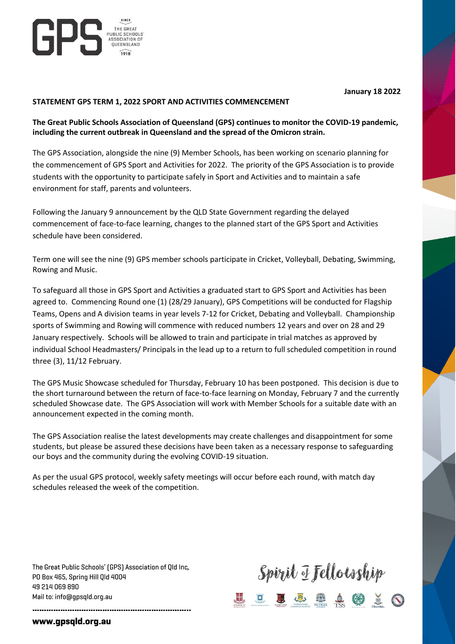

## **STATEMENT GPS TERM 1, 2022 SPORT AND ACTIVITIES COMMENCEMENT**

THE GREAT<br>PUBLIC SCHOOLS<br>ASSOCIATION OF<br>OUFENSIAND THE GREAT

QUEENSLAND

ljP:

## **The Great Public Schools Association of Queensland (GPS) continues to monitor the COVID-19 pandemic, including the current outbreak in Queensland and the spread of the Omicron strain.**

The GPS Association, alongside the nine (9) Member Schools, has been working on scenario planning for the commencement of GPS Sport and Activities for 2022. The priority of the GPS Association is to provide students with the opportunity to participate safely in Sport and Activities and to maintain a safe environment for staff, parents and volunteers.

Following the January 9 announcement by the QLD State Government regarding the delayed commencement of face-to-face learning, changes to the planned start of the GPS Sport and Activities schedule have been considered.

Term one will see the nine (9) GPS member schools participate in Cricket, Volleyball, Debating, Swimming, Rowing and Music.

To safeguard all those in GPS Sport and Activities a graduated start to GPS Sport and Activities has been agreed to. Commencing Round one (1) (28/29 January), GPS Competitions will be conducted for Flagship Teams, Opens and A division teams in year levels 7-12 for Cricket, Debating and Volleyball. Championship sports of Swimming and Rowing will commence with reduced numbers 12 years and over on 28 and 29 January respectively. Schools will be allowed to train and participate in trial matches as approved by individual School Headmasters/ Principals in the lead up to a return to full scheduled competition in round three (3), 11/12 February.

The GPS Music Showcase scheduled for Thursday, February 10 has been postponed. This decision is due to the short turnaround between the return of face-to-face learning on Monday, February 7 and the currently scheduled Showcase date. The GPS Association will work with Member Schools for a suitable date with an announcement expected in the coming month.

The GPS Association realise the latest developments may create challenges and disappointment for some students, but please be assured these decisions have been taken as a necessary response to safeguarding our boys and the community during the evolving COVID-19 situation.

As per the usual GPS protocol, weekly safety meetings will occur before each round, with match day schedules released the week of the competition.

The Great Public Schools' (GPS) Association of Old Inc. PO Box 465, Spring Hill Qld 4004 49 214 069 890 Mail to: info@qpsqld.org.au



## www.gpsqld.org.au